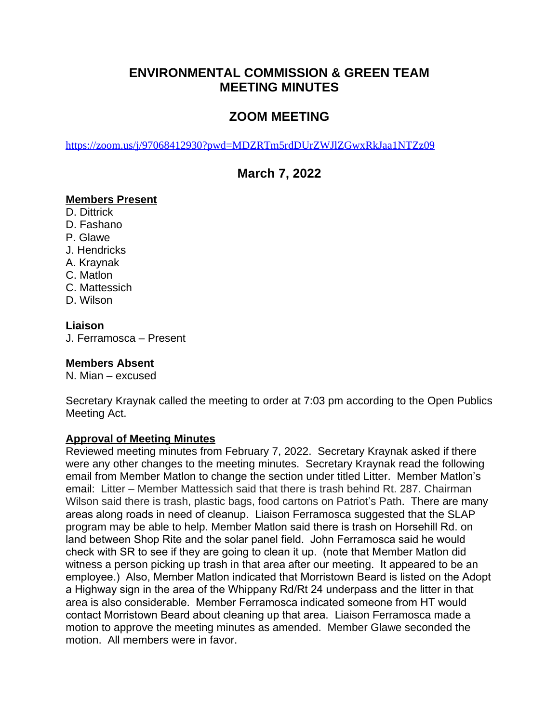## **ENVIRONMENTAL COMMISSION & GREEN TEAM MEETING MINUTES**

# **ZOOM MEETING**

<https://zoom.us/j/97068412930?pwd=MDZRTm5rdDUrZWJlZGwxRkJaa1NTZz09>

## **March 7, 2022**

### **Members Present**

D. Dittrick

- D. Fashano
- P. Glawe
- J. Hendricks
- A. Kraynak
- C. Matlon
- C. Mattessich
- D. Wilson

## **Liaison**

J. Ferramosca – Present

## **Members Absent**

N. Mian – excused

Secretary Kraynak called the meeting to order at 7:03 pm according to the Open Publics Meeting Act.

## **Approval of Meeting Minutes**

Reviewed meeting minutes from February 7, 2022. Secretary Kraynak asked if there were any other changes to the meeting minutes. Secretary Kraynak read the following email from Member Matlon to change the section under titled Litter. Member Matlon's email: Litter – Member Mattessich said that there is trash behind Rt. 287. Chairman Wilson said there is trash, plastic bags, food cartons on Patriot's Path. There are many areas along roads in need of cleanup. Liaison Ferramosca suggested that the SLAP program may be able to help. Member Matlon said there is trash on Horsehill Rd. on land between Shop Rite and the solar panel field. John Ferramosca said he would check with SR to see if they are going to clean it up. (note that Member Matlon did witness a person picking up trash in that area after our meeting. It appeared to be an employee.) Also, Member Matlon indicated that Morristown Beard is listed on the Adopt a Highway sign in the area of the Whippany Rd/Rt 24 underpass and the litter in that area is also considerable. Member Ferramosca indicated someone from HT would contact Morristown Beard about cleaning up that area. Liaison Ferramosca made a motion to approve the meeting minutes as amended. Member Glawe seconded the motion. All members were in favor.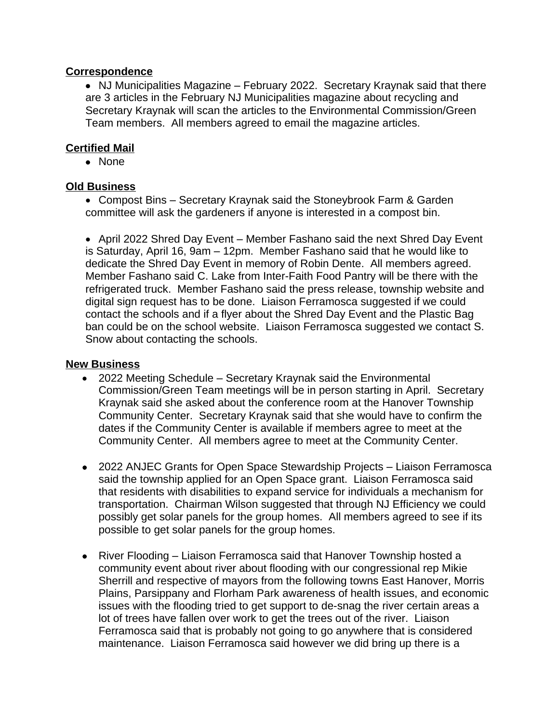#### **Correspondence**

• NJ Municipalities Magazine – February 2022. Secretary Kraynak said that there are 3 articles in the February NJ Municipalities magazine about recycling and Secretary Kraynak will scan the articles to the Environmental Commission/Green Team members. All members agreed to email the magazine articles.

## **Certified Mail**

• None

### **Old Business**

 Compost Bins – Secretary Kraynak said the Stoneybrook Farm & Garden committee will ask the gardeners if anyone is interested in a compost bin.

• April 2022 Shred Day Event – Member Fashano said the next Shred Day Event is Saturday, April 16, 9am – 12pm. Member Fashano said that he would like to dedicate the Shred Day Event in memory of Robin Dente. All members agreed. Member Fashano said C. Lake from Inter-Faith Food Pantry will be there with the refrigerated truck. Member Fashano said the press release, township website and digital sign request has to be done. Liaison Ferramosca suggested if we could contact the schools and if a flyer about the Shred Day Event and the Plastic Bag ban could be on the school website. Liaison Ferramosca suggested we contact S. Snow about contacting the schools.

#### **New Business**

- 2022 Meeting Schedule Secretary Kraynak said the Environmental Commission/Green Team meetings will be in person starting in April. Secretary Kraynak said she asked about the conference room at the Hanover Township Community Center. Secretary Kraynak said that she would have to confirm the dates if the Community Center is available if members agree to meet at the Community Center. All members agree to meet at the Community Center.
- 2022 ANJEC Grants for Open Space Stewardship Projects Liaison Ferramosca said the township applied for an Open Space grant. Liaison Ferramosca said that residents with disabilities to expand service for individuals a mechanism for transportation. Chairman Wilson suggested that through NJ Efficiency we could possibly get solar panels for the group homes. All members agreed to see if its possible to get solar panels for the group homes.
- River Flooding Liaison Ferramosca said that Hanover Township hosted a community event about river about flooding with our congressional rep Mikie Sherrill and respective of mayors from the following towns East Hanover, Morris Plains, Parsippany and Florham Park awareness of health issues, and economic issues with the flooding tried to get support to de-snag the river certain areas a lot of trees have fallen over work to get the trees out of the river. Liaison Ferramosca said that is probably not going to go anywhere that is considered maintenance. Liaison Ferramosca said however we did bring up there is a